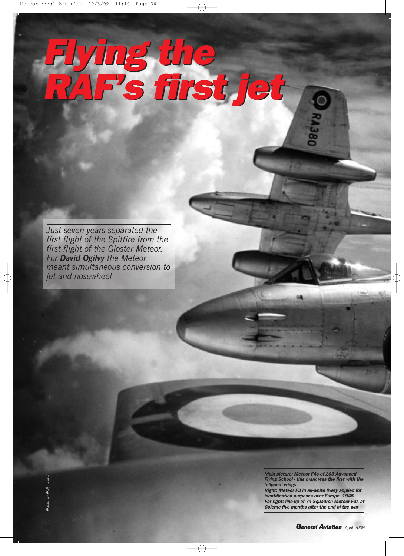## *Flying the RAF's first jet Flying the RAF's first jet*

*Just seven years separated the first flight of the Spitfire from the first flight of the Gloster Meteor. For David Ogilvy the Meteor meant simultaneous conversion to jet and nosewheel*

> *Main picture: Meteor F4s of 203 Advanced Flying School - this mark was the first with the 'clipped' wings*

*Right: Meteor F3 in all-white livery applied for identification purposes over Europe, 1945 Far right: line-up of 74 Squadron Meteor F3s at Colerness and Colerness <i>and a*<sup>t</sup> *clipped'* wings<br>*Colerness and a Colerness <i>a a*<sup>t</sup> *clipped' wings*<br>*Right: Meteor F3 in all-white livery applied for <i>identification purposes over Europe, 1945*<br>*Far* 

**36** *General Aviation April <sup>2009</sup>*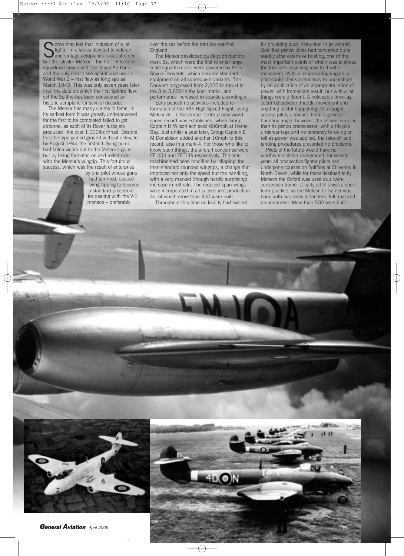Some may feel that inclusion of a jet<br>
Sighter in a series devoted to veteran<br>
but the Gloster Meteor – the first jet to enter ome may feel that inclusion of a jet fighter in a series devoted to veteran and vintage aeroplanes is out of order, squadron service with the Royal Air Force and the only one to see operational use in World War 2 – first flew as long ago as March 1943. This was only seven years later than the date on which the first Spitfire flew; yet the Spitfire has been considered an historic aeroplane for several decades.

The Meteor has many claims to fame. In its earliest form it was grossly underpowered, for the first to be completed failed to get airborne, as each of its Rover turbojets produced little over 1,000lbs thrust. Despite this the type gained ground without delay, for by August 1944 the first V-1 flying bomb had fallen victim not to the Meteor's guns, but by being formated on and rolled-over with the Meteor's wingtip. This fortuitous success, which was the result of enterprise

by one pilot whose guns had jammed, caused wing-tipping to become a standard procedure for dealing with the V-1 menace – preferably

over the sea before the intruder reached England.

The Meteor developed quickly; production mark 3s, which were the first to enter largescale squadron use, were powered by Rolls-Royce Derwents, which became standard equipment on all subsequent variants. The Derwent progressed from 2,000lbs thrust in the 3 to 3,600 in the later marks, and performance increased in sparkle accordingly.

Early peacetime activities included reformation of the RAF High Speed Flight, using Meteor 4s. In November 1945 a new world speed record was established, when Group Captain H Wilson achieved 606mph at Herne Bay. Just under a year later, Group Captain E M Donaldson added another 10mph to this record, also in a mark 4. For those who like to know such things, the aircraft concerned were EE 454 and EE 549 respectively. The latter machine had been modified by 'clipping' the then-standard rounded wingtips, a change that improved not only the speed but the handling, with a very marked (though hardly surprising) increase in roll rate. The reduced-span wings were incorporated in all subsequent production 4s, of which more than 450 were built.

Throughout this time no facility had existed

for providing dual instruction in jet aircraft. Qualified piston pilots had converted quite readily after extensive briefing, one of the most important points of which was to stress the turbine's slow response to throttle movement. With a reciprocating engine, a pilot could check a tendency to undershoot by an application of an appropriate ration of power, with immediate result, but with a jet things were different. A noticeable time-lag occurred between throttle movement and anything useful happening; this caught several pilots unaware. From a general handling angle, however, the jet was simpler than its piston predecessor; with a tricycle undercarriage and no tendency to swing or roll as power was applied, the take-off and landing procedures presented no problems.

Pilots of the future would have no worthwhile piston background; for several years all prospective fighter pilots had undergone courses on Spitfires at Chivenor, in North Devon, while for those destined to fly Meteors the Oxford was used as a twinconversion trainer. Clearly all this was a shortterm practice, so the Meteor T7 trainer was born, with two seats in tandem, full dual and no armament. More than 500 were built.



*General Aviation April <sup>2009</sup>* **37**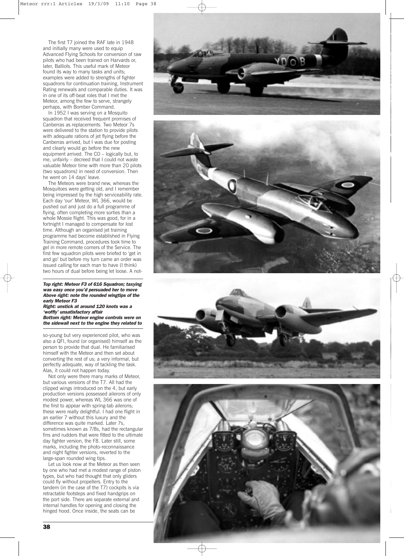The first T7 joined the RAF late in 1948 and initially many were used to equip Advanced Flying Schools for conversion o f ra w pilots who had bee n trained on Harvards o r , later , Balliols. This useful mark of Meteo r found its way to many tasks and units; example s were added to strengths of fighter squadrons for continuation training, Instrum ent Rating renewals an d comparable duties. It wa s in one of its off-beat roles that I met the M eteor , among the few to serve, strangel y perhaps, with Bomber Command.

In 1952 I was serving on a Mosquito squadron that received frequent promises of Canberras as re placements. Two Meteor 7s were delivered to the station to provide pilots with adequate rations of jet flying before th e C anberras arrived, but I was due for posting and clearly would go before the new equipment arrived . The CO – logically but, to m e , unfairly – decree d tha t I could not waste valuable Meteor time with more than 2 0 pilots (tw o squadrons) in need of conversion. Then h e went on 14 days' leave .

The Meteor s were brand new, whereas th e M osquitoes were getting old, and I remembe r being impressed b y the high serv iceability rate. Each da y 'our' Meteo r , WL 366, would be pushed out and just do a full programme o f flyin g , ofte n completing more sorties tha n a whole Mossie flight. This was good, for in a fortnight I managed to co mpensate for lost time. Although an organised jet training programme had become established in Flying Training Command , procedures took time to ge l i n more remote corners of the Service . The first few squadron pilots were briefed to 'ge t in and go' but before my turn came an order was issued calling for each man to have (I think) two hours of dual before being let loose. A not-

*Top right: Meteor F3 of 616 Squadron; taxying was easy once you'd persuaded her to move Above right: note the rounded wingtips of the early Meteor F3*

*Right: unstick at around 120 knots was a 'woffly' unsatisfactory affair Bottom right: Meteor engine controls were on the sidewall next to the engine they related to*

so-young but very experienced pilot, who was also a QFI, found (or organised) himself as the person to provide that dual. He familiarise d himself with the Meteor and then set about converting the rest of us; a very informal, but perfectly adequate, way of tackling the task. Alas, it could not happe n today.

Not only were there many marks of Meteor, but various versions of the T7. All had th e cli ppe d wings introduced on the 4, but earl y production versions possessed ailerons o f only modest power, whereas WL 366 was one o f the first to appear with spring-tab ailerons; these were really delightful. I had one fligh t in an earlier 7 withou t this luxury and the difference wa s quite marked. Later 7s, sometimes known as 7/8s, had the rectangular fins and rudders that were fitted to the ultimate day fighte r version , the F8. Late r still, some marks , including the photo-reconnaissance and night fighter versions, reverted to the large-span rounded wing tips.

Let us look now at the Meteor as then seen by on e who had met a modest range of pisto n typ es, but who had thought that only gliders coul d fly without propellers . Entry to th e tandem (in the cas e of the T7) cockpits is v i a retractable footsteps and fixed handgrips on the port side. Ther e are separate external and internal handles fo r opening and closing th e hinged hood. Once inside, the seats can be